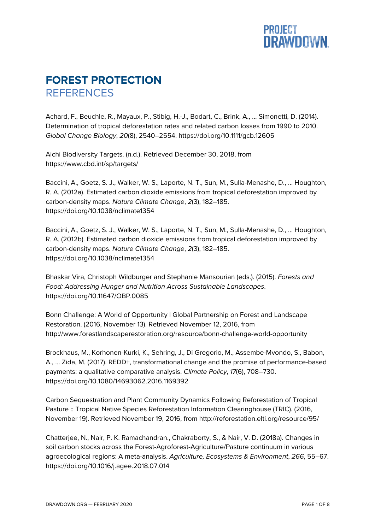

## **FOREST PROTECTION REFERENCES**

Achard, F., Beuchle, R., Mayaux, P., Stibig, H.-J., Bodart, C., Brink, A., … Simonetti, D. (2014). Determination of tropical deforestation rates and related carbon losses from 1990 to 2010. *Global Change Biology*, *20*(8), 2540–2554. https://doi.org/10.1111/gcb.12605

Aichi Biodiversity Targets. (n.d.). Retrieved December 30, 2018, from https://www.cbd.int/sp/targets/

Baccini, A., Goetz, S. J., Walker, W. S., Laporte, N. T., Sun, M., Sulla-Menashe, D., … Houghton, R. A. (2012a). Estimated carbon dioxide emissions from tropical deforestation improved by carbon-density maps. *Nature Climate Change*, *2*(3), 182–185. https://doi.org/10.1038/nclimate1354

Baccini, A., Goetz, S. J., Walker, W. S., Laporte, N. T., Sun, M., Sulla-Menashe, D., … Houghton, R. A. (2012b). Estimated carbon dioxide emissions from tropical deforestation improved by carbon-density maps. *Nature Climate Change*, *2*(3), 182–185. https://doi.org/10.1038/nclimate1354

Bhaskar Vira, Christoph Wildburger and Stephanie Mansourian (eds.). (2015). *Forests and Food: Addressing Hunger and Nutrition Across Sustainable Landscapes*. https://doi.org/10.11647/OBP.0085

Bonn Challenge: A World of Opportunity | Global Partnership on Forest and Landscape Restoration. (2016, November 13). Retrieved November 12, 2016, from http://www.forestlandscaperestoration.org/resource/bonn-challenge-world-opportunity

Brockhaus, M., Korhonen-Kurki, K., Sehring, J., Di Gregorio, M., Assembe-Mvondo, S., Babon, A., … Zida, M. (2017). REDD+, transformational change and the promise of performance-based payments: a qualitative comparative analysis. *Climate Policy*, *17*(6), 708–730. https://doi.org/10.1080/14693062.2016.1169392

Carbon Sequestration and Plant Community Dynamics Following Reforestation of Tropical Pasture :: Tropical Native Species Reforestation Information Clearinghouse (TRIC). (2016, November 19). Retrieved November 19, 2016, from http://reforestation.elti.org/resource/95/

Chatterjee, N., Nair, P. K. Ramachandran., Chakraborty, S., & Nair, V. D. (2018a). Changes in soil carbon stocks across the Forest-Agroforest-Agriculture/Pasture continuum in various agroecological regions: A meta-analysis. *Agriculture, Ecosystems & Environment*, *266*, 55–67. https://doi.org/10.1016/j.agee.2018.07.014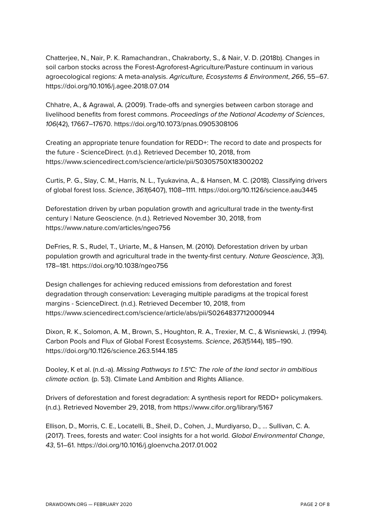Chatterjee, N., Nair, P. K. Ramachandran., Chakraborty, S., & Nair, V. D. (2018b). Changes in soil carbon stocks across the Forest-Agroforest-Agriculture/Pasture continuum in various agroecological regions: A meta-analysis. *Agriculture, Ecosystems & Environment*, *266*, 55–67. https://doi.org/10.1016/j.agee.2018.07.014

Chhatre, A., & Agrawal, A. (2009). Trade-offs and synergies between carbon storage and livelihood benefits from forest commons. *Proceedings of the National Academy of Sciences*, *106*(42), 17667–17670. https://doi.org/10.1073/pnas.0905308106

Creating an appropriate tenure foundation for REDD+: The record to date and prospects for the future - ScienceDirect. (n.d.). Retrieved December 10, 2018, from https://www.sciencedirect.com/science/article/pii/S0305750X18300202

Curtis, P. G., Slay, C. M., Harris, N. L., Tyukavina, A., & Hansen, M. C. (2018). Classifying drivers of global forest loss. *Science*, *361*(6407), 1108–1111. https://doi.org/10.1126/science.aau3445

Deforestation driven by urban population growth and agricultural trade in the twenty-first century | Nature Geoscience. (n.d.). Retrieved November 30, 2018, from https://www.nature.com/articles/ngeo756

DeFries, R. S., Rudel, T., Uriarte, M., & Hansen, M. (2010). Deforestation driven by urban population growth and agricultural trade in the twenty-first century. *Nature Geoscience*, *3*(3), 178–181. https://doi.org/10.1038/ngeo756

Design challenges for achieving reduced emissions from deforestation and forest degradation through conservation: Leveraging multiple paradigms at the tropical forest margins - ScienceDirect. (n.d.). Retrieved December 10, 2018, from https://www.sciencedirect.com/science/article/abs/pii/S0264837712000944

Dixon, R. K., Solomon, A. M., Brown, S., Houghton, R. A., Trexier, M. C., & Wisniewski, J. (1994). Carbon Pools and Flux of Global Forest Ecosystems. *Science*, *263*(5144), 185–190. https://doi.org/10.1126/science.263.5144.185

Dooley, K et al. (n.d.-a). *Missing Pathways to 1.5°C: The role of the land sector in ambitious climate action.* (p. 53). Climate Land Ambition and Rights Alliance.

Drivers of deforestation and forest degradation: A synthesis report for REDD+ policymakers. (n.d.). Retrieved November 29, 2018, from https://www.cifor.org/library/5167

Ellison, D., Morris, C. E., Locatelli, B., Sheil, D., Cohen, J., Murdiyarso, D., … Sullivan, C. A. (2017). Trees, forests and water: Cool insights for a hot world. *Global Environmental Change*, *43*, 51–61. https://doi.org/10.1016/j.gloenvcha.2017.01.002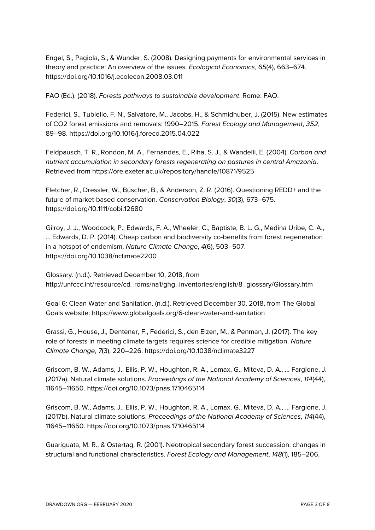Engel, S., Pagiola, S., & Wunder, S. (2008). Designing payments for environmental services in theory and practice: An overview of the issues. *Ecological Economics*, *65*(4), 663–674. https://doi.org/10.1016/j.ecolecon.2008.03.011

FAO (Ed.). (2018). *Forests pathways to sustainable development*. Rome: FAO.

Federici, S., Tubiello, F. N., Salvatore, M., Jacobs, H., & Schmidhuber, J. (2015). New estimates of CO2 forest emissions and removals: 1990–2015. *Forest Ecology and Management*, *352*, 89–98. https://doi.org/10.1016/j.foreco.2015.04.022

Feldpausch, T. R., Rondon, M. A., Fernandes, E., Riha, S. J., & Wandelli, E. (2004). *Carbon and nutrient accumulation in secondary forests regenerating on pastures in central Amazonia*. Retrieved from https://ore.exeter.ac.uk/repository/handle/10871/9525

Fletcher, R., Dressler, W., Büscher, B., & Anderson, Z. R. (2016). Questioning REDD+ and the future of market-based conservation. *Conservation Biology*, *30*(3), 673–675. https://doi.org/10.1111/cobi.12680

Gilroy, J. J., Woodcock, P., Edwards, F. A., Wheeler, C., Baptiste, B. L. G., Medina Uribe, C. A., … Edwards, D. P. (2014). Cheap carbon and biodiversity co-benefits from forest regeneration in a hotspot of endemism. *Nature Climate Change*, *4*(6), 503–507. https://doi.org/10.1038/nclimate2200

Glossary. (n.d.). Retrieved December 10, 2018, from http://unfccc.int/resource/cd\_roms/na1/ghg\_inventories/english/8\_glossary/Glossary.htm

Goal 6: Clean Water and Sanitation. (n.d.). Retrieved December 30, 2018, from The Global Goals website: https://www.globalgoals.org/6-clean-water-and-sanitation

Grassi, G., House, J., Dentener, F., Federici, S., den Elzen, M., & Penman, J. (2017). The key role of forests in meeting climate targets requires science for credible mitigation. *Nature Climate Change*, *7*(3), 220–226. https://doi.org/10.1038/nclimate3227

Griscom, B. W., Adams, J., Ellis, P. W., Houghton, R. A., Lomax, G., Miteva, D. A., … Fargione, J. (2017a). Natural climate solutions. *Proceedings of the National Academy of Sciences*, *114*(44), 11645–11650. https://doi.org/10.1073/pnas.1710465114

Griscom, B. W., Adams, J., Ellis, P. W., Houghton, R. A., Lomax, G., Miteva, D. A., … Fargione, J. (2017b). Natural climate solutions. *Proceedings of the National Academy of Sciences*, *114*(44), 11645–11650. https://doi.org/10.1073/pnas.1710465114

Guariguata, M. R., & Ostertag, R. (2001). Neotropical secondary forest succession: changes in structural and functional characteristics. *Forest Ecology and Management*, *148*(1), 185–206.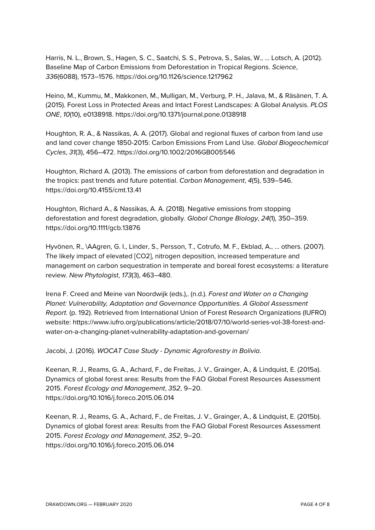Harris, N. L., Brown, S., Hagen, S. C., Saatchi, S. S., Petrova, S., Salas, W., … Lotsch, A. (2012). Baseline Map of Carbon Emissions from Deforestation in Tropical Regions. *Science*, *336*(6088), 1573–1576. https://doi.org/10.1126/science.1217962

Heino, M., Kummu, M., Makkonen, M., Mulligan, M., Verburg, P. H., Jalava, M., & Räsänen, T. A. (2015). Forest Loss in Protected Areas and Intact Forest Landscapes: A Global Analysis. *PLOS ONE*, *10*(10), e0138918. https://doi.org/10.1371/journal.pone.0138918

Houghton, R. A., & Nassikas, A. A. (2017). Global and regional fluxes of carbon from land use and land cover change 1850-2015: Carbon Emissions From Land Use. *Global Biogeochemical Cycles*, *31*(3), 456–472. https://doi.org/10.1002/2016GB005546

Houghton, Richard A. (2013). The emissions of carbon from deforestation and degradation in the tropics: past trends and future potential. *Carbon Management*, *4*(5), 539–546. https://doi.org/10.4155/cmt.13.41

Houghton, Richard A., & Nassikas, A. A. (2018). Negative emissions from stopping deforestation and forest degradation, globally. *Global Change Biology*, *24*(1), 350–359. https://doi.org/10.1111/gcb.13876

Hyvönen, R., \AAgren, G. I., Linder, S., Persson, T., Cotrufo, M. F., Ekblad, A., … others. (2007). The likely impact of elevated [CO2], nitrogen deposition, increased temperature and management on carbon sequestration in temperate and boreal forest ecosystems: a literature review. *New Phytologist*, *173*(3), 463–480.

Irena F. Creed and Meine van Noordwijk (eds.),. (n.d.). *Forest and Water on a Changing Planet: Vulnerability, Adaptation and Governance Opportunities. A Global Assessment Report.* (p. 192). Retrieved from International Union of Forest Research Organizations (IUFRO) website: https://www.iufro.org/publications/article/2018/07/10/world-series-vol-38-forest-andwater-on-a-changing-planet-vulnerability-adaptation-and-governan/

Jacobi, J. (2016). *WOCAT Case Study - Dynamic Agroforestry in Bolivia*.

Keenan, R. J., Reams, G. A., Achard, F., de Freitas, J. V., Grainger, A., & Lindquist, E. (2015a). Dynamics of global forest area: Results from the FAO Global Forest Resources Assessment 2015. *Forest Ecology and Management*, *352*, 9–20. https://doi.org/10.1016/j.foreco.2015.06.014

Keenan, R. J., Reams, G. A., Achard, F., de Freitas, J. V., Grainger, A., & Lindquist, E. (2015b). Dynamics of global forest area: Results from the FAO Global Forest Resources Assessment 2015. *Forest Ecology and Management*, *352*, 9–20. https://doi.org/10.1016/j.foreco.2015.06.014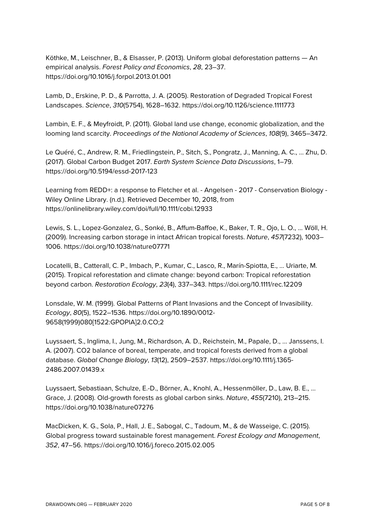Köthke, M., Leischner, B., & Elsasser, P. (2013). Uniform global deforestation patterns — An empirical analysis. *Forest Policy and Economics*, *28*, 23–37. https://doi.org/10.1016/j.forpol.2013.01.001

Lamb, D., Erskine, P. D., & Parrotta, J. A. (2005). Restoration of Degraded Tropical Forest Landscapes. *Science*, *310*(5754), 1628–1632. https://doi.org/10.1126/science.1111773

Lambin, E. F., & Meyfroidt, P. (2011). Global land use change, economic globalization, and the looming land scarcity. *Proceedings of the National Academy of Sciences*, *108*(9), 3465–3472.

Le Quéré, C., Andrew, R. M., Friedlingstein, P., Sitch, S., Pongratz, J., Manning, A. C., … Zhu, D. (2017). Global Carbon Budget 2017. *Earth System Science Data Discussions*, 1–79. https://doi.org/10.5194/essd-2017-123

Learning from REDD+: a response to Fletcher et al. - Angelsen - 2017 - Conservation Biology - Wiley Online Library. (n.d.). Retrieved December 10, 2018, from https://onlinelibrary.wiley.com/doi/full/10.1111/cobi.12933

Lewis, S. L., Lopez-Gonzalez, G., Sonké, B., Affum-Baffoe, K., Baker, T. R., Ojo, L. O., … Wöll, H. (2009). Increasing carbon storage in intact African tropical forests. *Nature*, *457*(7232), 1003– 1006. https://doi.org/10.1038/nature07771

Locatelli, B., Catterall, C. P., Imbach, P., Kumar, C., Lasco, R., Marín-Spiotta, E., … Uriarte, M. (2015). Tropical reforestation and climate change: beyond carbon: Tropical reforestation beyond carbon. *Restoration Ecology*, *23*(4), 337–343. https://doi.org/10.1111/rec.12209

Lonsdale, W. M. (1999). Global Patterns of Plant Invasions and the Concept of Invasibility. *Ecology*, *80*(5), 1522–1536. https://doi.org/10.1890/0012- 9658(1999)080[1522:GPOPIA]2.0.CO;2

Luyssaert, S., Inglima, I., Jung, M., Richardson, A. D., Reichstein, M., Papale, D., … Janssens, I. A. (2007). CO2 balance of boreal, temperate, and tropical forests derived from a global database. *Global Change Biology*, *13*(12), 2509–2537. https://doi.org/10.1111/j.1365- 2486.2007.01439.x

Luyssaert, Sebastiaan, Schulze, E.-D., Börner, A., Knohl, A., Hessenmöller, D., Law, B. E., … Grace, J. (2008). Old-growth forests as global carbon sinks. *Nature*, *455*(7210), 213–215. https://doi.org/10.1038/nature07276

MacDicken, K. G., Sola, P., Hall, J. E., Sabogal, C., Tadoum, M., & de Wasseige, C. (2015). Global progress toward sustainable forest management. *Forest Ecology and Management*, *352*, 47–56. https://doi.org/10.1016/j.foreco.2015.02.005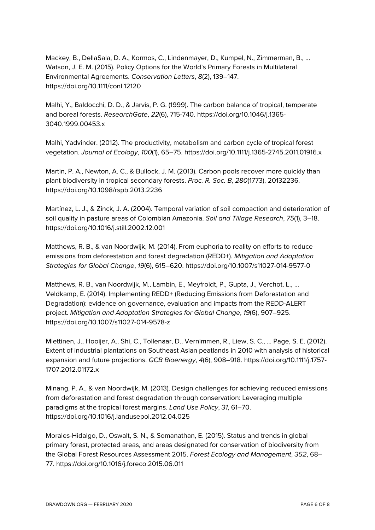Mackey, B., DellaSala, D. A., Kormos, C., Lindenmayer, D., Kumpel, N., Zimmerman, B., … Watson, J. E. M. (2015). Policy Options for the World's Primary Forests in Multilateral Environmental Agreements. *Conservation Letters*, *8*(2), 139–147. https://doi.org/10.1111/conl.12120

Malhi, Y., Baldocchi, D. D., & Jarvis, P. G. (1999). The carbon balance of tropical, temperate and boreal forests. *ResearchGate*, *22*(6), 715-740. https://doi.org/10.1046/j.1365- 3040.1999.00453.x

Malhi, Yadvinder. (2012). The productivity, metabolism and carbon cycle of tropical forest vegetation. *Journal of Ecology*, *100*(1), 65–75. https://doi.org/10.1111/j.1365-2745.2011.01916.x

Martin, P. A., Newton, A. C., & Bullock, J. M. (2013). Carbon pools recover more quickly than plant biodiversity in tropical secondary forests. *Proc. R. Soc. B*, *280*(1773), 20132236. https://doi.org/10.1098/rspb.2013.2236

Martínez, L. J., & Zinck, J. A. (2004). Temporal variation of soil compaction and deterioration of soil quality in pasture areas of Colombian Amazonia. *Soil and Tillage Research*, *75*(1), 3–18. https://doi.org/10.1016/j.still.2002.12.001

Matthews, R. B., & van Noordwijk, M. (2014). From euphoria to reality on efforts to reduce emissions from deforestation and forest degradation (REDD+). *Mitigation and Adaptation Strategies for Global Change*, *19*(6), 615–620. https://doi.org/10.1007/s11027-014-9577-0

Matthews, R. B., van Noordwijk, M., Lambin, E., Meyfroidt, P., Gupta, J., Verchot, L., … Veldkamp, E. (2014). Implementing REDD+ (Reducing Emissions from Deforestation and Degradation): evidence on governance, evaluation and impacts from the REDD-ALERT project. *Mitigation and Adaptation Strategies for Global Change*, *19*(6), 907–925. https://doi.org/10.1007/s11027-014-9578-z

Miettinen, J., Hooijer, A., Shi, C., Tollenaar, D., Vernimmen, R., Liew, S. C., … Page, S. E. (2012). Extent of industrial plantations on Southeast Asian peatlands in 2010 with analysis of historical expansion and future projections. *GCB Bioenergy*, *4*(6), 908–918. https://doi.org/10.1111/j.1757- 1707.2012.01172.x

Minang, P. A., & van Noordwijk, M. (2013). Design challenges for achieving reduced emissions from deforestation and forest degradation through conservation: Leveraging multiple paradigms at the tropical forest margins. *Land Use Policy*, *31*, 61–70. https://doi.org/10.1016/j.landusepol.2012.04.025

Morales-Hidalgo, D., Oswalt, S. N., & Somanathan, E. (2015). Status and trends in global primary forest, protected areas, and areas designated for conservation of biodiversity from the Global Forest Resources Assessment 2015. *Forest Ecology and Management*, *352*, 68– 77. https://doi.org/10.1016/j.foreco.2015.06.011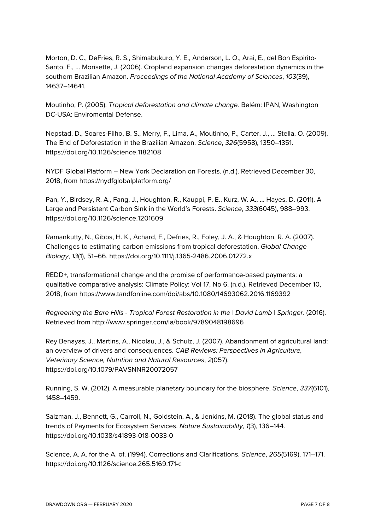Morton, D. C., DeFries, R. S., Shimabukuro, Y. E., Anderson, L. O., Arai, E., del Bon Espirito-Santo, F., … Morisette, J. (2006). Cropland expansion changes deforestation dynamics in the southern Brazilian Amazon. *Proceedings of the National Academy of Sciences*, *103*(39), 14637–14641.

Moutinho, P. (2005). *Tropical deforestation and climate change.* Belém: IPAN, Washington DC-USA: Enviromental Defense.

Nepstad, D., Soares-Filho, B. S., Merry, F., Lima, A., Moutinho, P., Carter, J., … Stella, O. (2009). The End of Deforestation in the Brazilian Amazon. *Science*, *326*(5958), 1350–1351. https://doi.org/10.1126/science.1182108

NYDF Global Platform – New York Declaration on Forests. (n.d.). Retrieved December 30, 2018, from https://nydfglobalplatform.org/

Pan, Y., Birdsey, R. A., Fang, J., Houghton, R., Kauppi, P. E., Kurz, W. A., … Hayes, D. (2011). A Large and Persistent Carbon Sink in the World's Forests. *Science*, *333*(6045), 988–993. https://doi.org/10.1126/science.1201609

Ramankutty, N., Gibbs, H. K., Achard, F., Defries, R., Foley, J. A., & Houghton, R. A. (2007). Challenges to estimating carbon emissions from tropical deforestation. *Global Change Biology*, *13*(1), 51–66. https://doi.org/10.1111/j.1365-2486.2006.01272.x

REDD+, transformational change and the promise of performance-based payments: a qualitative comparative analysis: Climate Policy: Vol 17, No 6. (n.d.). Retrieved December 10, 2018, from https://www.tandfonline.com/doi/abs/10.1080/14693062.2016.1169392

*Regreening the Bare Hills - Tropical Forest Restoration in the | David Lamb | Springer*. (2016). Retrieved from http://www.springer.com/la/book/9789048198696

Rey Benayas, J., Martins, A., Nicolau, J., & Schulz, J. (2007). Abandonment of agricultural land: an overview of drivers and consequences. *CAB Reviews: Perspectives in Agriculture, Veterinary Science, Nutrition and Natural Resources*, *2*(057). https://doi.org/10.1079/PAVSNNR20072057

Running, S. W. (2012). A measurable planetary boundary for the biosphere. *Science*, *337*(6101), 1458–1459.

Salzman, J., Bennett, G., Carroll, N., Goldstein, A., & Jenkins, M. (2018). The global status and trends of Payments for Ecosystem Services. *Nature Sustainability*, *1*(3), 136–144. https://doi.org/10.1038/s41893-018-0033-0

Science, A. A. for the A. of. (1994). Corrections and Clarifications. *Science*, *265*(5169), 171–171. https://doi.org/10.1126/science.265.5169.171-c